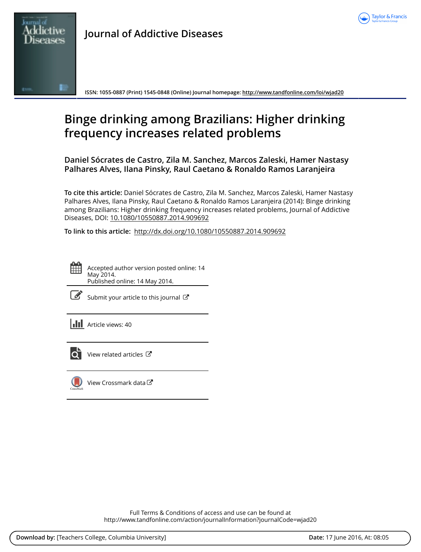



**Journal of Addictive Diseases**

**ISSN: 1055-0887 (Print) 1545-0848 (Online) Journal homepage:<http://www.tandfonline.com/loi/wjad20>**

# **Binge drinking among Brazilians: Higher drinking frequency increases related problems**

**Daniel Sócrates de Castro, Zila M. Sanchez, Marcos Zaleski, Hamer Nastasy Palhares Alves, Ilana Pinsky, Raul Caetano & Ronaldo Ramos Laranjeira**

**To cite this article:** Daniel Sócrates de Castro, Zila M. Sanchez, Marcos Zaleski, Hamer Nastasy Palhares Alves, Ilana Pinsky, Raul Caetano & Ronaldo Ramos Laranjeira (2014): Binge drinking among Brazilians: Higher drinking frequency increases related problems, Journal of Addictive Diseases, DOI: [10.1080/10550887.2014.909692](http://www.tandfonline.com/action/showCitFormats?doi=10.1080/10550887.2014.909692)

**To link to this article:** <http://dx.doi.org/10.1080/10550887.2014.909692>



Accepted author version posted online: 14 May 2014. Published online: 14 May 2014.

[Submit your article to this journal](http://www.tandfonline.com/action/authorSubmission?journalCode=wjad20&page=instructions)  $\mathbb{Z}$ 

**III** Article views: 40



 $\overline{Q}$  [View related articles](http://www.tandfonline.com/doi/mlt/10.1080/10550887.2014.909692)  $\mathbb{Z}$ 



 $\bigcirc$  [View Crossmark data](http://crossmark.crossref.org/dialog/?doi=10.1080/10550887.2014.909692&domain=pdf&date_stamp=2014-05-14) $\mathbb{Z}$ 

Full Terms & Conditions of access and use can be found at <http://www.tandfonline.com/action/journalInformation?journalCode=wjad20>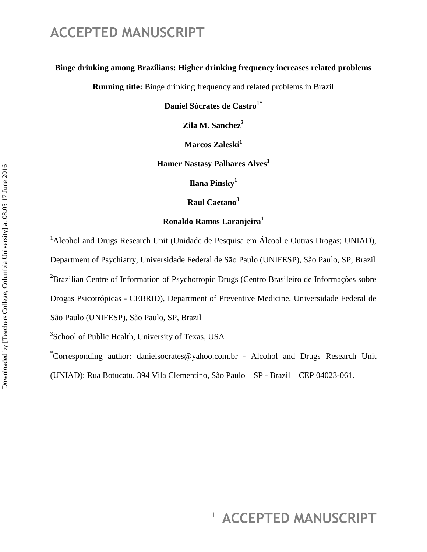### **Binge drinking among Brazilians: Higher drinking frequency increases related problems**

**Running title:** Binge drinking frequency and related problems in Brazil

**Daniel Sócrates de Castro1\***

**Zila M. Sanchez<sup>2</sup>**

**Marcos Zaleski<sup>1</sup>**

**Hamer Nastasy Palhares Alves<sup>1</sup>**

**Ilana Pinsky<sup>1</sup>**

**Raul Caetano<sup>3</sup>**

### **Ronaldo Ramos Laranjeira<sup>1</sup>**

<sup>1</sup> Alcohol and Drugs Research Unit (Unidade de Pesquisa em Álcool e Outras Drogas; UNIAD), Department of Psychiatry, Universidade Federal de São Paulo (UNIFESP), São Paulo, SP, Brazil  ${}^{2}$ Brazilian Centre of Information of Psychotropic Drugs (Centro Brasileiro de Informações sobre Drogas Psicotrópicas - CEBRID), Department of Preventive Medicine, Universidade Federal de São Paulo (UNIFESP), São Paulo, SP, Brazil

<sup>3</sup>School of Public Health, University of Texas, USA

\*Corresponding author: [danielsocrates@yahoo.com.br](mailto:danielsocrates@yahoo.com.br) - Alcohol and Drugs Research Unit (UNIAD): Rua Botucatu, 394 Vila Clementino, São Paulo – SP - Brazil – CEP 04023-061.

# <sup>1</sup> ACCEPTED MANUSCRIPT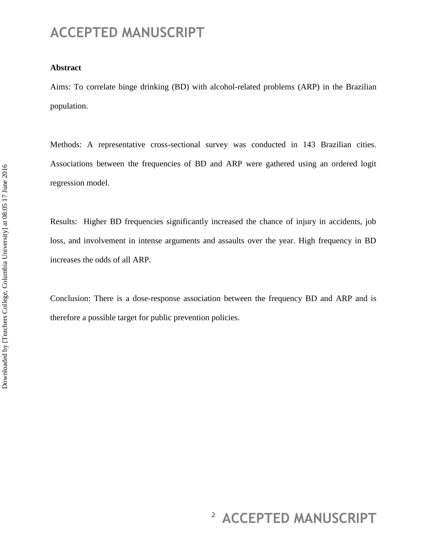#### **Abstract**

Aims: To correlate binge drinking (BD) with alcohol-related problems (ARP) in the Brazilian population.

Methods: A representative cross-sectional survey was conducted in 143 Brazilian cities. Associations between the frequencies of BD and ARP were gathered using an ordered logit regression model.

Results: Higher BD frequencies significantly increased the chance of injury in accidents, job loss, and involvement in intense arguments and assaults over the year. High frequency in BD increases the odds of all ARP.

Conclusion: There is a dose-response association between the frequency BD and ARP and is therefore a possible target for public prevention policies.

# <sup>2</sup> ACCEPTED MANUSCRIPT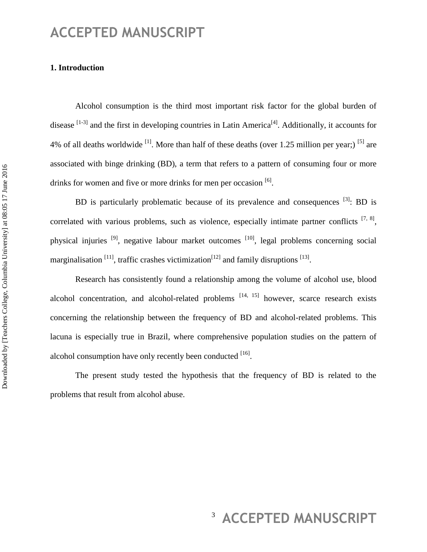### **1. Introduction**

Alcohol consumption is the third most important risk factor for the global burden of disease  $^{[1-3]}$  and the first in developing countries in Latin America<sup>[4]</sup>. Additionally, it accounts for 4% of all deaths worldwide  $^{[1]}$ . More than half of these deaths (over 1.25 million per year;) <sup>[5]</sup> are associated with binge drinking (BD), a term that refers to a pattern of consuming four or more drinks for women and five or more drinks for men per occasion [6].

BD is particularly problematic because of its prevalence and consequences  $^{[3]}$ : BD is correlated with various problems, such as violence, especially intimate partner conflicts  $[7, 8]$ , physical injuries <sup>[9]</sup>, negative labour market outcomes <sup>[10]</sup>, legal problems concerning social marginalisation  $^{[11]}$ , traffic crashes victimization $^{[12]}$  and family disruptions  $^{[13]}$ .

Research has consistently found a relationship among the volume of alcohol use, blood alcohol concentration, and alcohol-related problems  $[14, 15]$  however, scarce research exists concerning the relationship between the frequency of BD and alcohol-related problems. This lacuna is especially true in Brazil, where comprehensive population studies on the pattern of alcohol consumption have only recently been conducted [16].

The present study tested the hypothesis that the frequency of BD is related to the problems that result from alcohol abuse.

# <sup>3</sup> ACCEPTED MANUSCRIPT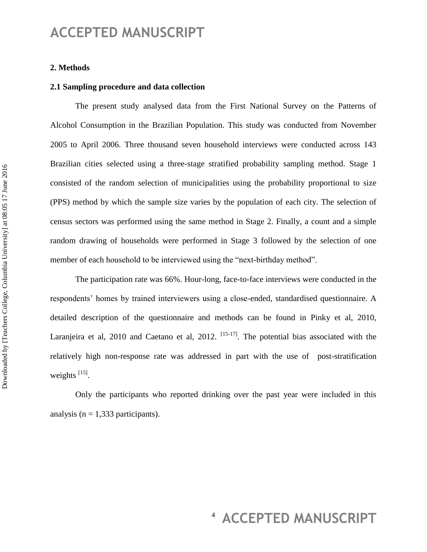#### **2. Methods**

#### **2.1 Sampling procedure and data collection**

The present study analysed data from the First National Survey on the Patterns of Alcohol Consumption in the Brazilian Population. This study was conducted from November 2005 to April 2006. Three thousand seven household interviews were conducted across 143 Brazilian cities selected using a three-stage stratified probability sampling method. Stage 1 consisted of the random selection of municipalities using the probability proportional to size (PPS) method by which the sample size varies by the population of each city. The selection of census sectors was performed using the same method in Stage 2. Finally, a count and a simple random drawing of households were performed in Stage 3 followed by the selection of one member of each household to be interviewed using the "next-birthday method".

The participation rate was 66%. Hour-long, face-to-face interviews were conducted in the respondents' homes by trained interviewers using a close-ended, standardised questionnaire. A detailed description of the questionnaire and methods can be found in Pinky et al, 2010, Laranjeira et al, 2010 and Caetano et al, 2012.  $^{[15-17]}$ . The potential bias associated with the relatively high non-response rate was addressed in part with the use of post-stratification weights  $^{[15]}$ .

Only the participants who reported drinking over the past year were included in this analysis ( $n = 1,333$  participants).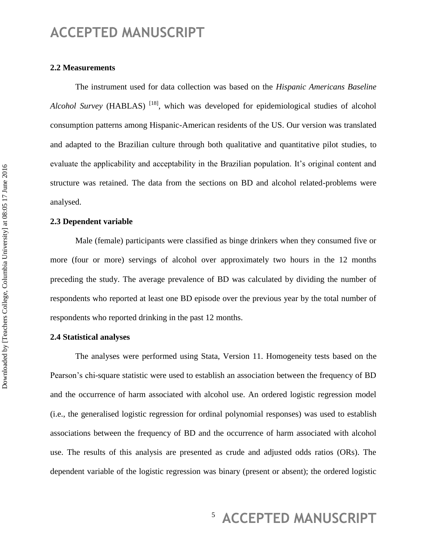#### **2.2 Measurements**

The instrument used for data collection was based on the *Hispanic Americans Baseline Alcohol Survey* (HABLAS) <sup>[18]</sup>, which was developed for epidemiological studies of alcohol consumption patterns among Hispanic-American residents of the US. Our version was translated and adapted to the Brazilian culture through both qualitative and quantitative pilot studies, to evaluate the applicability and acceptability in the Brazilian population. It's original content and structure was retained. The data from the sections on BD and alcohol related-problems were analysed.

#### **2.3 Dependent variable**

Male (female) participants were classified as binge drinkers when they consumed five or more (four or more) servings of alcohol over approximately two hours in the 12 months preceding the study. The average prevalence of BD was calculated by dividing the number of respondents who reported at least one BD episode over the previous year by the total number of respondents who reported drinking in the past 12 months.

### **2.4 Statistical analyses**

The analyses were performed using Stata, Version 11. Homogeneity tests based on the Pearson's chi-square statistic were used to establish an association between the frequency of BD and the occurrence of harm associated with alcohol use. An ordered logistic regression model (i.e., the generalised logistic regression for ordinal polynomial responses) was used to establish associations between the frequency of BD and the occurrence of harm associated with alcohol use. The results of this analysis are presented as crude and adjusted odds ratios (ORs). The dependent variable of the logistic regression was binary (present or absent); the ordered logistic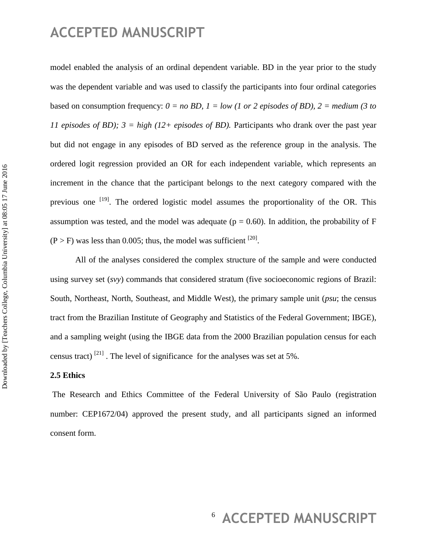model enabled the analysis of an ordinal dependent variable. BD in the year prior to the study was the dependent variable and was used to classify the participants into four ordinal categories based on consumption frequency:  $0 = no BD$ ,  $1 = low (1 or 2 episodes of BD)$ ,  $2 = medium (3 to 2)$ *11 episodes of BD);*  $3 = high (12 + episodes of BD)$ . Participants who drank over the past year but did not engage in any episodes of BD served as the reference group in the analysis. The ordered logit regression provided an OR for each independent variable, which represents an increment in the chance that the participant belongs to the next category compared with the previous one <sup>[19]</sup>. The ordered logistic model assumes the proportionality of the OR. This assumption was tested, and the model was adequate ( $p = 0.60$ ). In addition, the probability of F  $(P > F)$  was less than 0.005; thus, the model was sufficient <sup>[20]</sup>.

All of the analyses considered the complex structure of the sample and were conducted using survey set (*svy*) commands that considered stratum (five socioeconomic regions of Brazil: South, Northeast, North, Southeast, and Middle West), the primary sample unit (*psu*; the census tract from the Brazilian Institute of Geography and Statistics of the Federal Government; IBGE), and a sampling weight (using the IBGE data from the 2000 Brazilian population census for each census tract)  $^{[21]}$ . The level of significance for the analyses was set at 5%.

### **2.5 Ethics**

The Research and Ethics Committee of the Federal University of São Paulo (registration number: CEP1672/04) approved the present study, and all participants signed an informed consent form.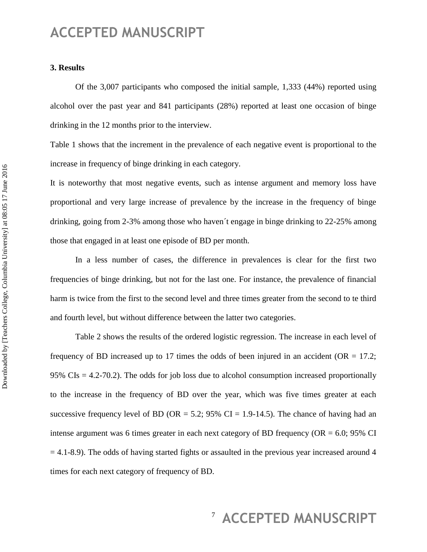#### **3. Results**

Of the 3,007 participants who composed the initial sample, 1,333 (44%) reported using alcohol over the past year and 841 participants (28%) reported at least one occasion of binge drinking in the 12 months prior to the interview.

Table 1 shows that the increment in the prevalence of each negative event is proportional to the increase in frequency of binge drinking in each category.

It is noteworthy that most negative events, such as intense argument and memory loss have proportional and very large increase of prevalence by the increase in the frequency of binge drinking, going from 2-3% among those who haven´t engage in binge drinking to 22-25% among those that engaged in at least one episode of BD per month.

In a less number of cases, the difference in prevalences is clear for the first two frequencies of binge drinking, but not for the last one. For instance, the prevalence of financial harm is twice from the first to the second level and three times greater from the second to te third and fourth level, but without difference between the latter two categories.

Table 2 shows the results of the ordered logistic regression. The increase in each level of frequency of BD increased up to 17 times the odds of been injured in an accident ( $OR = 17.2$ ; 95%  $CIs = 4.2$ -70.2). The odds for job loss due to alcohol consumption increased proportionally to the increase in the frequency of BD over the year, which was five times greater at each successive frequency level of BD (OR = 5.2; 95% CI = 1.9-14.5). The chance of having had an intense argument was 6 times greater in each next category of BD frequency ( $OR = 6.0$ ; 95% CI  $= 4.1-8.9$ ). The odds of having started fights or assaulted in the previous year increased around 4 times for each next category of frequency of BD.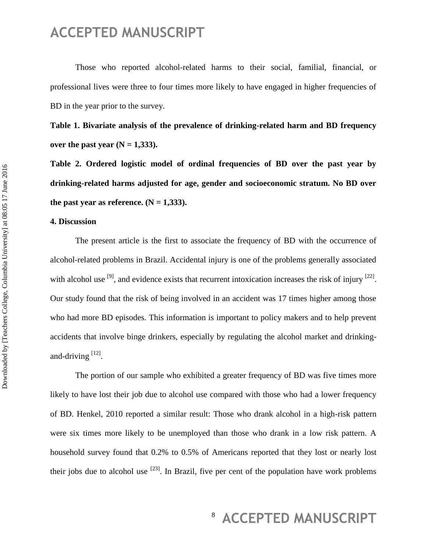Those who reported alcohol-related harms to their social, familial, financial, or professional lives were three to four times more likely to have engaged in higher frequencies of BD in the year prior to the survey.

**Table 1. Bivariate analysis of the prevalence of drinking-related harm and BD frequency over the past year (N = 1,333).** 

**Table 2. Ordered logistic model of ordinal frequencies of BD over the past year by drinking-related harms adjusted for age, gender and socioeconomic stratum. No BD over**  the past year as reference.  $(N = 1,333)$ .

#### **4. Discussion**

The present article is the first to associate the frequency of BD with the occurrence of alcohol-related problems in Brazil. Accidental injury is one of the problems generally associated with alcohol use  $^{[9]}$ , and evidence exists that recurrent intoxication increases the risk of injury  $^{[22]}$ . Our study found that the risk of being involved in an accident was 17 times higher among those who had more BD episodes. This information is important to policy makers and to help prevent accidents that involve binge drinkers, especially by regulating the alcohol market and drinkingand-driving  $^{[12]}$ .

The portion of our sample who exhibited a greater frequency of BD was five times more likely to have lost their job due to alcohol use compared with those who had a lower frequency of BD. Henkel, 2010 reported a similar result: Those who drank alcohol in a high-risk pattern were six times more likely to be unemployed than those who drank in a low risk pattern. A household survey found that 0.2% to 0.5% of Americans reported that they lost or nearly lost their jobs due to alcohol use  $^{[23]}$ . In Brazil, five per cent of the population have work problems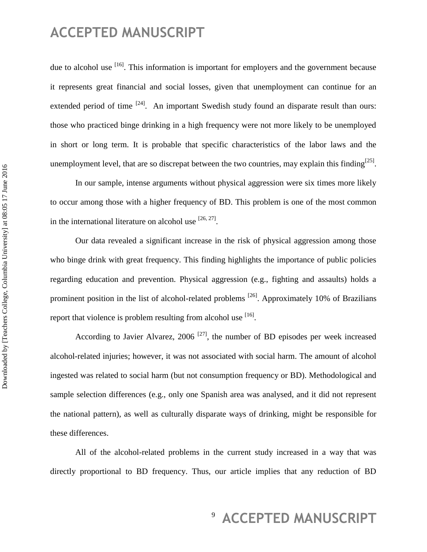due to alcohol use  $[16]$ . This information is important for employers and the government because it represents great financial and social losses, given that unemployment can continue for an extended period of time  $[24]$ . An important Swedish study found an disparate result than ours: those who practiced binge drinking in a high frequency were not more likely to be unemployed in short or long term. It is probable that specific characteristics of the labor laws and the unemployment level, that are so discrepat between the two countries, may explain this finding<sup>[25]</sup>.

In our sample, intense arguments without physical aggression were six times more likely to occur among those with a higher frequency of BD. This problem is one of the most common in the international literature on alcohol use  $[26, 27]$ .

Our data revealed a significant increase in the risk of physical aggression among those who binge drink with great frequency. This finding highlights the importance of public policies regarding education and prevention. Physical aggression (e.g., fighting and assaults) holds a prominent position in the list of alcohol-related problems <sup>[26]</sup>. Approximately 10% of Brazilians report that violence is problem resulting from alcohol use  $[16]$ .

According to Javier Alvarez,  $2006$ <sup>[27]</sup>, the number of BD episodes per week increased alcohol-related injuries; however, it was not associated with social harm. The amount of alcohol ingested was related to social harm (but not consumption frequency or BD). Methodological and sample selection differences (e.g., only one Spanish area was analysed, and it did not represent the national pattern), as well as culturally disparate ways of drinking, might be responsible for these differences.

All of the alcohol-related problems in the current study increased in a way that was directly proportional to BD frequency. Thus, our article implies that any reduction of BD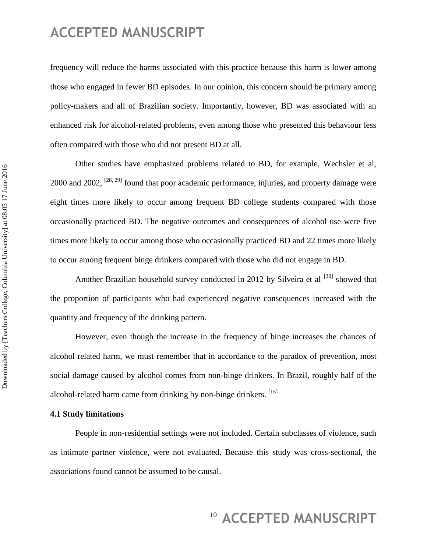frequency will reduce the harms associated with this practice because this harm is lower among those who engaged in fewer BD episodes. In our opinion, this concern should be primary among policy-makers and all of Brazilian society. Importantly, however, BD was associated with an enhanced risk for alcohol-related problems, even among those who presented this behaviour less often compared with those who did not present BD at all.

Other studies have emphasized problems related to BD, for example, Wechsler et al, 2000 and 2002,  $^{[28, 29]}$  found that poor academic performance, injuries, and property damage were eight times more likely to occur among frequent BD college students compared with those occasionally practiced BD. The negative outcomes and consequences of alcohol use were five times more likely to occur among those who occasionally practiced BD and 22 times more likely to occur among frequent binge drinkers compared with those who did not engage in BD.

Another Brazilian household survey conducted in 2012 by Silveira et al <sup>[30]</sup> showed that the proportion of participants who had experienced negative consequences increased with the quantity and frequency of the drinking pattern.

However, even though the increase in the frequency of binge increases the chances of alcohol related harm, we must remember that in accordance to the paradox of prevention, most social damage caused by alcohol comes from non-binge drinkers. In Brazil, roughly half of the alcohol-related harm came from drinking by non-binge drinkers. [15]

### **4.1 Study limitations**

People in non-residential settings were not included. Certain subclasses of violence, such as intimate partner violence, were not evaluated. Because this study was cross-sectional, the associations found cannot be assumed to be causal.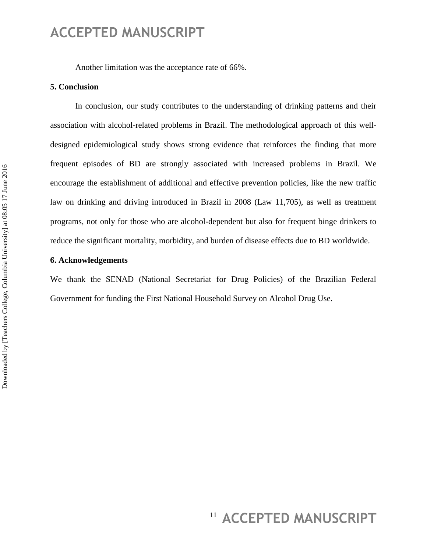Another limitation was the acceptance rate of 66%.

#### **5. Conclusion**

In conclusion, our study contributes to the understanding of drinking patterns and their association with alcohol-related problems in Brazil. The methodological approach of this welldesigned epidemiological study shows strong evidence that reinforces the finding that more frequent episodes of BD are strongly associated with increased problems in Brazil. We encourage the establishment of additional and effective prevention policies, like the new traffic law on drinking and driving introduced in Brazil in 2008 (Law 11,705), as well as treatment programs, not only for those who are alcohol-dependent but also for frequent binge drinkers to reduce the significant mortality, morbidity, and burden of disease effects due to BD worldwide.

### **6. Acknowledgements**

We thank the SENAD (National Secretariat for Drug Policies) of the Brazilian Federal Government for funding the First National Household Survey on Alcohol Drug Use.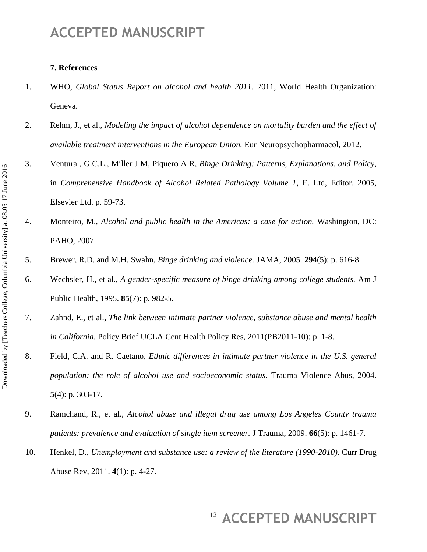#### **7. References**

- 1. WHO, *Global Status Report on alcohol and health 2011*. 2011, World Health Organization: Geneva.
- 2. Rehm, J., et al., *Modeling the impact of alcohol dependence on mortality burden and the effect of available treatment interventions in the European Union.* Eur Neuropsychopharmacol, 2012.
- 3. Ventura , G.C.L., Miller J M, Piquero A R, *Binge Drinking: Patterns, Explanations, and Policy*, in *Comprehensive Handbook of Alcohol Related Pathology Volume 1*, E. Ltd, Editor. 2005, Elsevier Ltd. p. 59-73.
- 4. Monteiro, M., *Alcohol and public health in the Americas: a case for action.* Washington, DC: PAHO, 2007.
- 5. Brewer, R.D. and M.H. Swahn, *Binge drinking and violence.* JAMA, 2005. **294**(5): p. 616-8.
- 6. Wechsler, H., et al., *A gender-specific measure of binge drinking among college students.* Am J Public Health, 1995. **85**(7): p. 982-5.
- 7. Zahnd, E., et al., *The link between intimate partner violence, substance abuse and mental health in California.* Policy Brief UCLA Cent Health Policy Res, 2011(PB2011-10): p. 1-8.
- 8. Field, C.A. and R. Caetano, *Ethnic differences in intimate partner violence in the U.S. general population: the role of alcohol use and socioeconomic status.* Trauma Violence Abus, 2004. **5**(4): p. 303-17.
- 9. Ramchand, R., et al., *Alcohol abuse and illegal drug use among Los Angeles County trauma patients: prevalence and evaluation of single item screener.* J Trauma, 2009. **66**(5): p. 1461-7.
- 10. Henkel, D., *Unemployment and substance use: a review of the literature (1990-2010).* Curr Drug Abuse Rev, 2011. **4**(1): p. 4-27.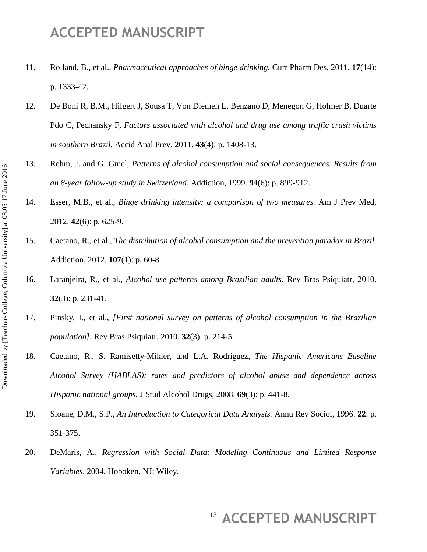- 11. Rolland, B., et al., *Pharmaceutical approaches of binge drinking.* Curr Pharm Des, 2011. **17**(14): p. 1333-42.
- 12. De Boni R, B.M., Hilgert J, Sousa T, Von Diemen L, Benzano D, Menegon G, Holmer B, Duarte Pdo C, Pechansky F, *Factors associated with alcohol and drug use among traffic crash victims in southern Brazil.* Accid Anal Prev, 2011. **43**(4): p. 1408-13.
- 13. Rehm, J. and G. Gmel, *Patterns of alcohol consumption and social consequences. Results from an 8-year follow-up study in Switzerland.* Addiction, 1999. **94**(6): p. 899-912.
- 14. Esser, M.B., et al., *Binge drinking intensity: a comparison of two measures.* Am J Prev Med, 2012. **42**(6): p. 625-9.
- 15. Caetano, R., et al., *The distribution of alcohol consumption and the prevention paradox in Brazil.* Addiction, 2012. **107**(1): p. 60-8.
- 16. Laranjeira, R., et al., *Alcohol use patterns among Brazilian adults.* Rev Bras Psiquiatr, 2010. **32**(3): p. 231-41.
- 17. Pinsky, I., et al., *[First national survey on patterns of alcohol consumption in the Brazilian population].* Rev Bras Psiquiatr, 2010. **32**(3): p. 214-5.
- 18. Caetano, R., S. Ramisetty-Mikler, and L.A. Rodriguez, *The Hispanic Americans Baseline Alcohol Survey (HABLAS): rates and predictors of alcohol abuse and dependence across Hispanic national groups.* J Stud Alcohol Drugs, 2008. **69**(3): p. 441-8.
- 19. Sloane, D.M., S.P., *An Introduction to Categorical Data Analysis.* Annu Rev Sociol, 1996. **22**: p. 351-375.
- 20. DeMaris, A., *Regression with Social Data: Modeling Continuous and Limited Response Variables*. 2004, Hoboken, NJ: Wiley.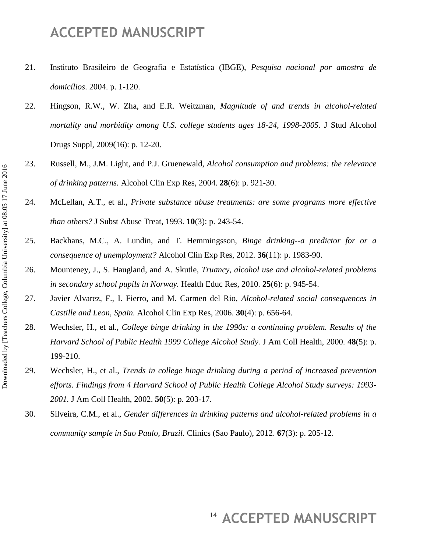- 21. Instituto Brasileiro de Geografia e Estatística (IBGE), *Pesquisa nacional por amostra de domicílios*. 2004. p. 1-120.
- 22. Hingson, R.W., W. Zha, and E.R. Weitzman, *Magnitude of and trends in alcohol-related mortality and morbidity among U.S. college students ages 18-24, 1998-2005.* J Stud Alcohol Drugs Suppl, 2009(16): p. 12-20.
- 23. Russell, M., J.M. Light, and P.J. Gruenewald, *Alcohol consumption and problems: the relevance of drinking patterns.* Alcohol Clin Exp Res, 2004. **28**(6): p. 921-30.
- 24. McLellan, A.T., et al., *Private substance abuse treatments: are some programs more effective than others?* J Subst Abuse Treat, 1993. **10**(3): p. 243-54.
- 25. Backhans, M.C., A. Lundin, and T. Hemmingsson, *Binge drinking--a predictor for or a consequence of unemployment?* Alcohol Clin Exp Res, 2012. **36**(11): p. 1983-90.
- 26. Mounteney, J., S. Haugland, and A. Skutle, *Truancy, alcohol use and alcohol-related problems in secondary school pupils in Norway.* Health Educ Res, 2010. **25**(6): p. 945-54.
- 27. Javier Alvarez, F., I. Fierro, and M. Carmen del Rio, *Alcohol-related social consequences in Castille and Leon, Spain.* Alcohol Clin Exp Res, 2006. **30**(4): p. 656-64.
- 28. Wechsler, H., et al., *College binge drinking in the 1990s: a continuing problem. Results of the Harvard School of Public Health 1999 College Alcohol Study.* J Am Coll Health, 2000. **48**(5): p. 199-210.
- 29. Wechsler, H., et al., *Trends in college binge drinking during a period of increased prevention efforts. Findings from 4 Harvard School of Public Health College Alcohol Study surveys: 1993- 2001.* J Am Coll Health, 2002. **50**(5): p. 203-17.
- 30. Silveira, C.M., et al., *Gender differences in drinking patterns and alcohol-related problems in a community sample in Sao Paulo, Brazil.* Clinics (Sao Paulo), 2012. **67**(3): p. 205-12.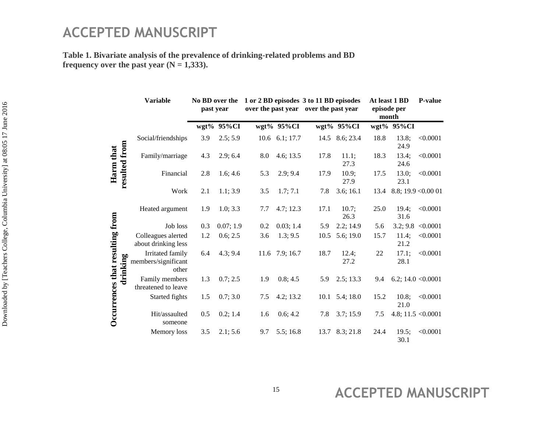**Table 1. Bivariate analysis of the prevalence of drinking-related problems and BD**  frequency over the past year  $(N = 1,333)$ .

|                                             | <b>Variable</b>                                  | No BD over the<br>past year |            |     |                  | 1 or 2 BD episodes 3 to 11 BD episodes<br>over the past year over the past year |                        | At least 1 BD<br>episode per<br>month |               | <b>P-value</b>       |
|---------------------------------------------|--------------------------------------------------|-----------------------------|------------|-----|------------------|---------------------------------------------------------------------------------|------------------------|---------------------------------------|---------------|----------------------|
|                                             |                                                  |                             | wgt% 95%CI |     | wgt% 95%CI       |                                                                                 | wgt% 95%CI             |                                       | wgt% 95%CI    |                      |
| resulted from<br>Harm that                  | Social/friendships                               | 3.9                         | 2.5; 5.9   |     | 10.6 6.1; 17.7   |                                                                                 | 14.5 8.6; 23.4         | 18.8                                  | 13.8;<br>24.9 | < 0.0001             |
|                                             | Family/marriage                                  | 4.3                         | 2.9; 6.4   | 8.0 | 4.6; 13.5        | 17.8                                                                            | 11.1;<br>27.3          | 18.3                                  | 13.4;<br>24.6 | < 0.0001             |
|                                             | Financial                                        | 2.8                         | 1.6; 4.6   | 5.3 | 2.9; 9.4         | 17.9                                                                            | 10.9;<br>27.9          | 17.5                                  | 13.0;<br>23.1 | < 0.0001             |
|                                             | Work                                             | 2.1                         | 1.1; 3.9   | 3.5 | 1.7; 7.1         | 7.8                                                                             | 3.6; 16.1              | 13.4                                  |               | 8.8; 19.9 < 0.00 01  |
| Occurrences that resulting from<br>drinking | Heated argument                                  | 1.9                         | 1.0; 3.3   | 7.7 | 4.7; 12.3        | 17.1                                                                            | 10.7;<br>26.3          | 25.0                                  | 19.4;<br>31.6 | < 0.0001             |
|                                             | Job loss                                         | 0.3                         | 0.07; 1.9  | 0.2 | 0.03; 1.4        | 5.9                                                                             | 2.2; 14.9              | 5.6                                   | 3.2; 9.8      | < 0.0001             |
|                                             | Colleagues alerted<br>about drinking less        | 1.2                         | 0.6; 2.5   | 3.6 | 1.3; 9.5         | 10.5                                                                            | 5.6; 19.0              | 15.7                                  | 11.4;<br>21.2 | < 0.0001             |
|                                             | Irritated family<br>members/significant<br>other | 6.4                         | 4.3; 9.4   |     | $11.6$ 7.9; 16.7 | 18.7                                                                            | 12.4;<br>27.2          | 22                                    | 17.1:<br>28.1 | < 0.0001             |
|                                             | Family members<br>threatened to leave            | 1.3                         | 0.7; 2.5   | 1.9 | 0.8; 4.5         | 5.9                                                                             | 2.5; 13.3              | 9.4                                   |               | 6.2; 14.0 < $0.0001$ |
|                                             | Started fights                                   | 1.5                         | 0.7; 3.0   | 7.5 | 4.2; 13.2        |                                                                                 | $10.1 \quad 5.4; 18.0$ | 15.2                                  | 10.8;<br>21.0 | < 0.0001             |
|                                             | Hit/assaulted<br>someone                         | 0.5                         | 0.2; 1.4   | 1.6 | 0.6; 4.2         | 7.8                                                                             | 3.7; 15.9              | 7.5                                   |               | 4.8; 11.5 < $0.0001$ |
|                                             | Memory loss                                      | 3.5                         | 2.1; 5.6   | 9.7 | 5.5; 16.8        | 13.7                                                                            | 8.3; 21.8              | 24.4                                  | 19.5;<br>30.1 | < 0.0001             |

Downloaded by [Teachers College, Columbia University] at 08:05 17 June 2016 Downloaded by [Teachers College, Columbia University] at 08:05 17 June 2016